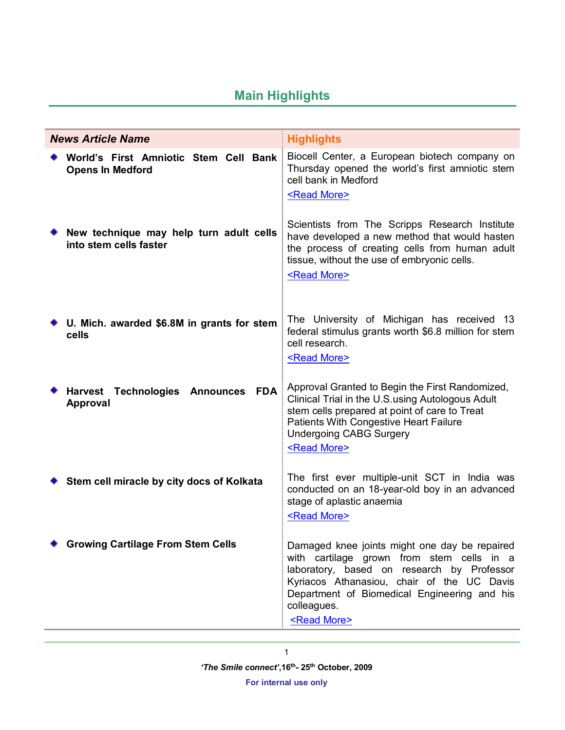# **Main Highlights**

| <b>News Article Name</b>                                          |            | <b>Highlights</b>                                                                                                                                                                                                                                                              |
|-------------------------------------------------------------------|------------|--------------------------------------------------------------------------------------------------------------------------------------------------------------------------------------------------------------------------------------------------------------------------------|
| World's First Amniotic Stem Cell Bank<br><b>Opens In Medford</b>  |            | Biocell Center, a European biotech company on<br>Thursday opened the world's first amniotic stem<br>cell bank in Medford<br><read more=""></read>                                                                                                                              |
| New technique may help turn adult cells<br>into stem cells faster |            | Scientists from The Scripps Research Institute<br>have developed a new method that would hasten<br>the process of creating cells from human adult<br>tissue, without the use of embryonic cells.<br><read more=""></read>                                                      |
| U. Mich. awarded \$6.8M in grants for stem<br>cells               |            | The University of Michigan has received 13<br>federal stimulus grants worth \$6.8 million for stem<br>cell research.<br><read more=""></read>                                                                                                                                  |
| Harvest Technologies Announces<br>Approval                        | <b>FDA</b> | Approval Granted to Begin the First Randomized,<br>Clinical Trial in the U.S. using Autologous Adult<br>stem cells prepared at point of care to Treat<br>Patients With Congestive Heart Failure<br><b>Undergoing CABG Surgery</b><br><read more=""></read>                     |
| Stem cell miracle by city docs of Kolkata                         |            | The first ever multiple-unit SCT in India was<br>conducted on an 18-year-old boy in an advanced<br>stage of aplastic anaemia<br><read more=""></read>                                                                                                                          |
| <b>Growing Cartilage From Stem Cells</b>                          |            | Damaged knee joints might one day be repaired<br>with cartilage grown from stem cells in a<br>laboratory, based on research by Professor<br>Kyriacos Athanasiou, chair of the UC Davis<br>Department of Biomedical Engineering and his<br>colleagues.<br><read more=""></read> |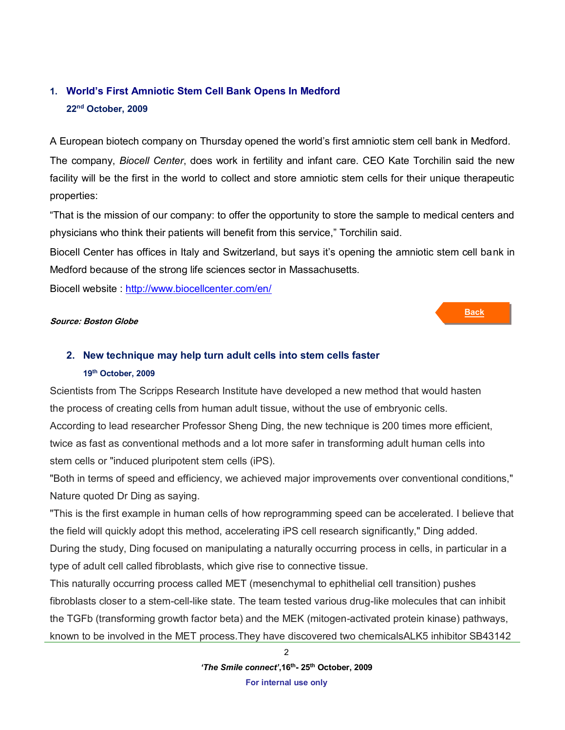## <span id="page-1-0"></span>**1. World's First Amniotic Stem Cell Bank Opens In Medford 22nd October, 2009**

A European biotech company on Thursday opened the world's first amniotic stem cell bank in Medford.

The company, *Biocell Center*, does work in fertility and infant care. CEO Kate Torchilin said the new facility will be the first in the world to collect and store amniotic stem cells for their unique therapeutic properties:

"That is the mission of our company: to offer the opportunity to store the sample to medical centers and physicians who think their patients will benefit from this service," Torchilin said.

Biocell Center has offices in Italy and Switzerland, but says it's opening the amniotic stem cell bank in Medford because of the strong life sciences sector in Massachusetts.

<span id="page-1-1"></span>**Back**

Biocell website :<http://www.biocellcenter.com/en/>

### **Source: Boston Globe**

## **2. New technique may help turn adult cells into stem cells faster 19th October, 2009**

Scientists from The Scripps Research Institute have developed a new method that would hasten the process of creating cells from human adult tissue, without the use of embryonic cells. According to lead researcher Professor Sheng Ding, the new technique is 200 times more efficient, twice as fast as conventional methods and a lot more safer in transforming adult human cells into stem cells or "induced pluripotent stem cells (iPS).

"Both in terms of speed and efficiency, we achieved major improvements over conventional conditions," Nature quoted Dr Ding as saying.

"This is the first example in human cells of how reprogramming speed can be accelerated. I believe that the field will quickly adopt this method, accelerating iPS cell research significantly," Ding added. During the study, Ding focused on manipulating a naturally occurring process in cells, in particular in a type of adult cell called fibroblasts, which give rise to connective tissue.

This naturally occurring process called MET (mesenchymal to ephithelial cell transition) pushes fibroblasts closer to a stem-cell-like state. The team tested various drug-like molecules that can inhibit the TGFb (transforming growth factor beta) and the MEK (mitogen-activated protein kinase) pathways, known to be involved in the MET process.They have discovered two chemicalsALK5 inhibitor SB43142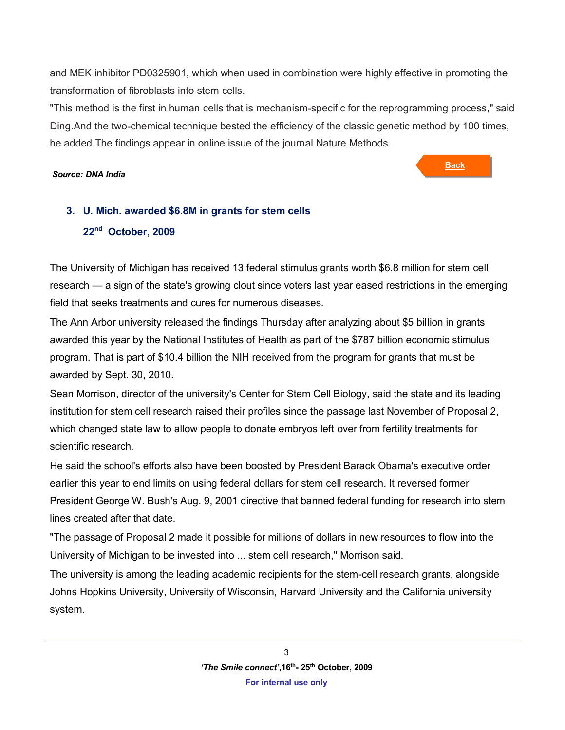and MEK inhibitor PD0325901, which when used in combination were highly effective in promoting the transformation of fibroblasts into stem cells.

"This method is the first in human cells that is mechanism-specific for the reprogramming process," said Ding.And the two-chemical technique bested the efficiency of the classic genetic method by 100 times, he added.The findings appear in online issue of the journal Nature Methods.

### *Source: DNA India*

**Back**

# <span id="page-2-0"></span>**3. U. Mich. awarded \$6.8M in grants for stem cells 22nd October, 2009**

The University of Michigan has received 13 federal stimulus grants worth \$6.8 million for stem cell research — a sign of the state's growing clout since voters last year eased restrictions in the emerging field that seeks treatments and cures for numerous diseases.

The Ann Arbor university released the findings Thursday after analyzing about \$5 billion in grants awarded this year by the National Institutes of Health as part of the \$787 billion economic stimulus program. That is part of \$10.4 billion the NIH received from the program for grants that must be awarded by Sept. 30, 2010.

Sean Morrison, director of the university's Center for Stem Cell Biology, said the state and its leading institution for stem cell research raised their profiles since the passage last November of Proposal 2, which changed state law to allow people to donate embryos left over from fertility treatments for scientific research.

He said the school's efforts also have been boosted by President Barack Obama's executive order earlier this year to end limits on using federal dollars for stem cell research. It reversed former President George W. Bush's Aug. 9, 2001 directive that banned federal funding for research into stem lines created after that date.

"The passage of Proposal 2 made it possible for millions of dollars in new resources to flow into the University of Michigan to be invested into ... stem cell research," Morrison said.

The university is among the leading academic recipients for the stem-cell research grants, alongside Johns Hopkins University, University of Wisconsin, Harvard University and the California university system.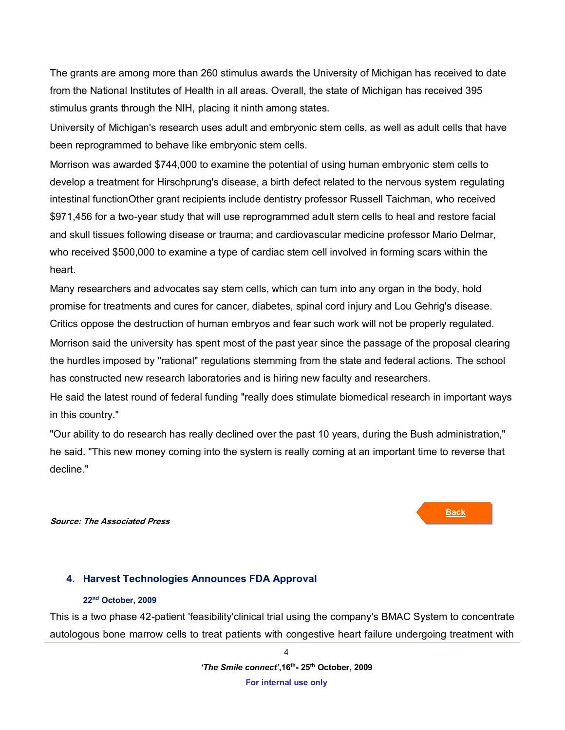The grants are among more than 260 stimulus awards the University of Michigan has received to date from the National Institutes of Health in all areas. Overall, the state of Michigan has received 395 stimulus grants through the NIH, placing it ninth among states.

University of Michigan's research uses adult and embryonic stem cells, as well as adult cells that have been reprogrammed to behave like embryonic stem cells.

Morrison was awarded \$744,000 to examine the potential of using human embryonic stem cells to develop a treatment for Hirschprung's disease, a birth defect related to the nervous system regulating intestinal functionOther grant recipients include dentistry professor Russell Taichman, who received \$971,456 for a two-year study that will use reprogrammed adult stem cells to heal and restore facial and skull tissues following disease or trauma; and cardiovascular medicine professor Mario Delmar, who received \$500,000 to examine a type of cardiac stem cell involved in forming scars within the heart.

Many researchers and advocates say stem cells, which can turn into any organ in the body, hold promise for treatments and cures for cancer, diabetes, spinal cord injury and Lou Gehrig's disease. Critics oppose the destruction of human embryos and fear such work will not be properly regulated. Morrison said the university has spent most of the past year since the passage of the proposal clearing the hurdles imposed by "rational" regulations stemming from the state and federal actions. The school has constructed new research laboratories and is hiring new faculty and researchers.

He said the latest round of federal funding "really does stimulate biomedical research in important ways in this country."

"Our ability to do research has really declined over the past 10 years, during the Bush administration," he said. "This new money coming into the system is really coming at an important time to reverse that decline."

### **Source: The Associated Press**

## <span id="page-3-0"></span>**4. Harvest Technologies Announces FDA Approval**

### **22nd October, 2009**

This is a two phase 42-patient 'feasibility'clinical trial using the company's BMAC System to concentrate autologous bone marrow cells to treat patients with congestive heart failure undergoing treatment with



4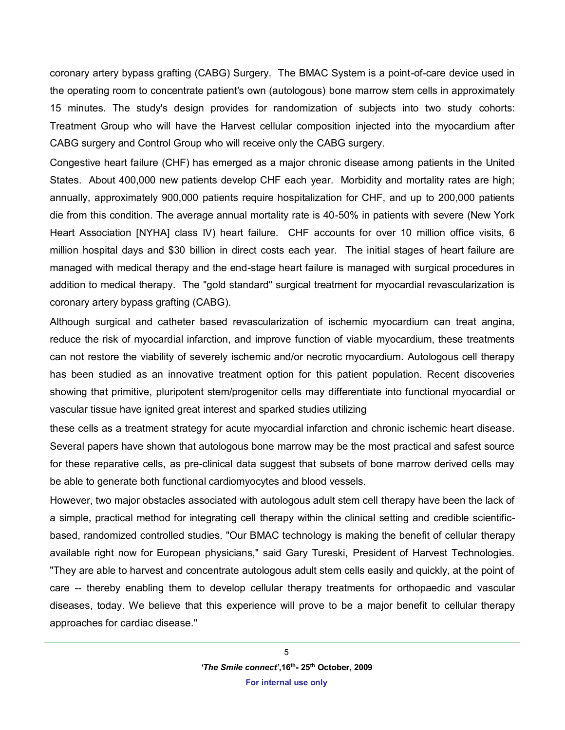coronary artery bypass grafting (CABG) Surgery. The BMAC System is a point-of-care device used in the operating room to concentrate patient's own (autologous) bone marrow stem cells in approximately 15 minutes. The study's design provides for randomization of subjects into two study cohorts: Treatment Group who will have the Harvest cellular composition injected into the myocardium after CABG surgery and Control Group who will receive only the CABG surgery.

Congestive heart failure (CHF) has emerged as a major chronic disease among patients in the United States. About 400,000 new patients develop CHF each year. Morbidity and mortality rates are high; annually, approximately 900,000 patients require hospitalization for CHF, and up to 200,000 patients die from this condition. The average annual mortality rate is 40-50% in patients with severe (New York Heart Association [NYHA] class IV) heart failure. CHF accounts for over 10 million office visits, 6 million hospital days and \$30 billion in direct costs each year. The initial stages of heart failure are managed with medical therapy and the end-stage heart failure is managed with surgical procedures in addition to medical therapy. The "gold standard" surgical treatment for myocardial revascularization is coronary artery bypass grafting (CABG).

Although surgical and catheter based revascularization of ischemic myocardium can treat angina, reduce the risk of myocardial infarction, and improve function of viable myocardium, these treatments can not restore the viability of severely ischemic and/or necrotic myocardium. Autologous cell therapy has been studied as an innovative treatment option for this patient population. Recent discoveries showing that primitive, pluripotent stem/progenitor cells may differentiate into functional myocardial or vascular tissue have ignited great interest and sparked studies utilizing

these cells as a treatment strategy for acute myocardial infarction and chronic ischemic heart disease. Several papers have shown that autologous bone marrow may be the most practical and safest source for these reparative cells, as pre-clinical data suggest that subsets of bone marrow derived cells may be able to generate both functional cardiomyocytes and blood vessels.

However, two major obstacles associated with autologous adult stem cell therapy have been the lack of a simple, practical method for integrating cell therapy within the clinical setting and credible scientificbased, randomized controlled studies. "Our BMAC technology is making the benefit of cellular therapy available right now for European physicians," said Gary Tureski, President of Harvest Technologies. "They are able to harvest and concentrate autologous adult stem cells easily and quickly, at the point of care -- thereby enabling them to develop cellular therapy treatments for orthopaedic and vascular diseases, today. We believe that this experience will prove to be a major benefit to cellular therapy approaches for cardiac disease."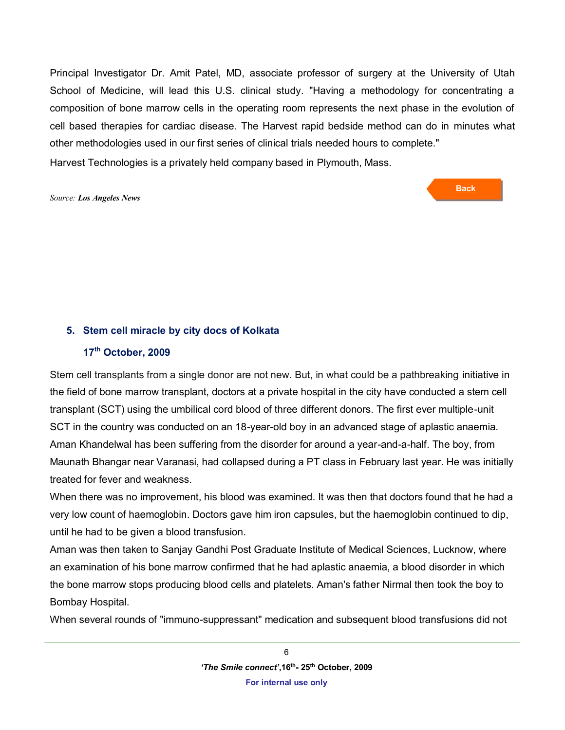Principal Investigator Dr. Amit Patel, MD, associate professor of surgery at the University of Utah School of Medicine, will lead this U.S. clinical study. "Having a methodology for concentrating a composition of bone marrow cells in the operating room represents the next phase in the evolution of cell based therapies for cardiac disease. The Harvest rapid bedside method can do in minutes what other methodologies used in our first series of clinical trials needed hours to complete." Harvest Technologies is a privately held company based in Plymouth, Mass.

#### *Source: Los Angeles News*

**Back**

## <span id="page-5-0"></span>**5. Stem cell miracle by city docs of Kolkata**

## **17 th October, 2009**

Stem cell transplants from a single donor are not new. But, in what could be a pathbreaking initiative in the field of bone marrow transplant, doctors at a private hospital in the city have conducted a stem cell transplant (SCT) using the umbilical cord blood of three different donors. The first ever multiple-unit SCT in the country was conducted on an 18-year-old boy in an advanced stage of aplastic anaemia. Aman Khandelwal has been suffering from the disorder for around a year-and-a-half. The boy, from Maunath Bhangar near Varanasi, had collapsed during a PT class in February last year. He was initially treated for fever and weakness.

When there was no improvement, his blood was examined. It was then that doctors found that he had a very low count of haemoglobin. Doctors gave him iron capsules, but the haemoglobin continued to dip, until he had to be given a blood transfusion.

Aman was then taken to Sanjay Gandhi Post Graduate Institute of Medical Sciences, Lucknow, where an examination of his bone marrow confirmed that he had aplastic anaemia, a blood disorder in which the bone marrow stops producing blood cells and platelets. Aman's father Nirmal then took the boy to Bombay Hospital.

When several rounds of "immuno-suppressant" medication and subsequent blood transfusions did not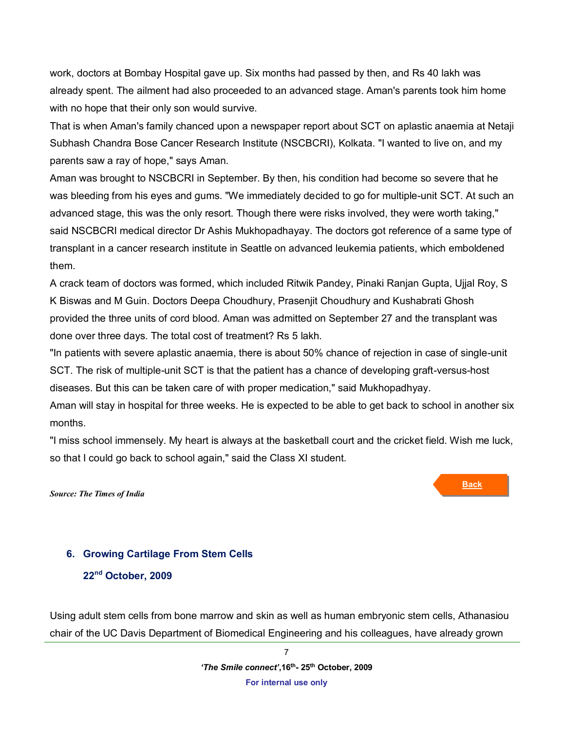work, doctors at Bombay Hospital gave up. Six months had passed by then, and Rs 40 lakh was already spent. The ailment had also proceeded to an advanced stage. Aman's parents took him home with no hope that their only son would survive.

That is when Aman's family chanced upon a newspaper report about SCT on aplastic anaemia at Netaji Subhash Chandra Bose Cancer Research Institute (NSCBCRI), Kolkata. "I wanted to live on, and my parents saw a ray of hope," says Aman.

Aman was brought to NSCBCRI in September. By then, his condition had become so severe that he was bleeding from his eyes and gums. "We immediately decided to go for multiple-unit SCT. At such an advanced stage, this was the only resort. Though there were risks involved, they were worth taking," said NSCBCRI medical director Dr Ashis Mukhopadhayay. The doctors got reference of a same type of transplant in a cancer research institute in Seattle on advanced leukemia patients, which emboldened them.

A crack team of doctors was formed, which included Ritwik Pandey, Pinaki Ranjan Gupta, Ujjal Roy, S K Biswas and M Guin. Doctors Deepa Choudhury, Prasenjit Choudhury and Kushabrati Ghosh provided the three units of cord blood. Aman was admitted on September 27 and the transplant was done over three days. The total cost of treatment? Rs 5 lakh.

"In patients with severe aplastic anaemia, there is about 50% chance of rejection in case of single-unit SCT. The risk of multiple-unit SCT is that the patient has a chance of developing graft-versus-host diseases. But this can be taken care of with proper medication," said Mukhopadhyay.

Aman will stay in hospital for three weeks. He is expected to be able to get back to school in another six months.

"I miss school immensely. My heart is always at the basketball court and the cricket field. Wish me luck, so that I could go back to school again," said the Class XI student.

*Source: The Times of India* 

## <span id="page-6-0"></span>**6. Growing Cartilage From Stem Cells**

**22nd October, 2009**

Using adult stem cells from bone marrow and skin as well as human embryonic stem cells, Athanasiou chair of the UC Davis Department of Biomedical Engineering and his colleagues, have already grown